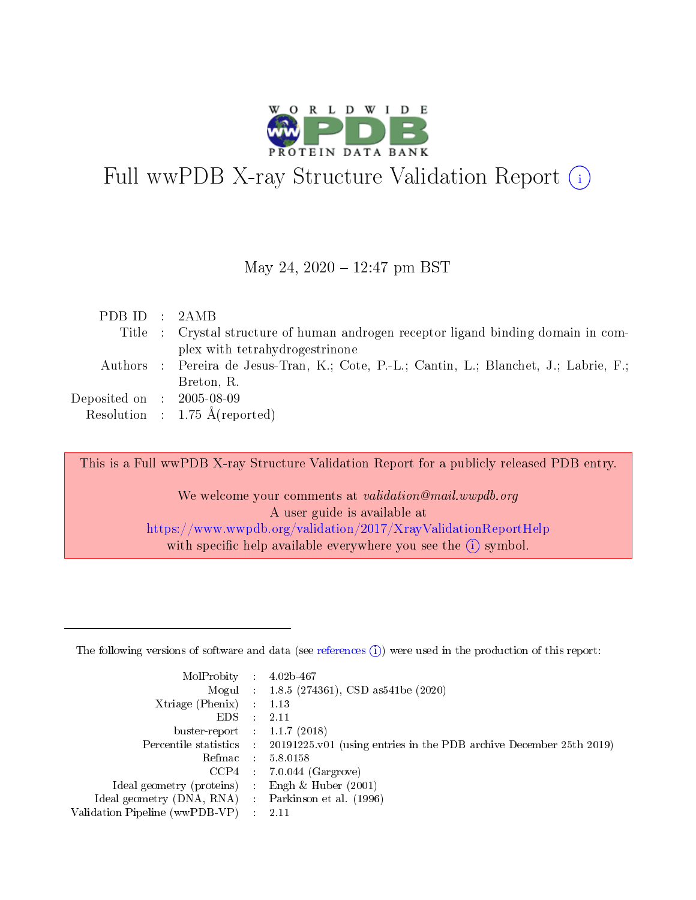

# Full wwPDB X-ray Structure Validation Report  $(i)$

#### May 24,  $2020 - 12:47$  pm BST

| Title : Crystal structure of human androgen receptor ligand binding domain in com-      |  |
|-----------------------------------------------------------------------------------------|--|
| plex with tetrahydrogestrinone                                                          |  |
| Authors : Pereira de Jesus-Tran, K.; Cote, P.-L.; Cantin, L.; Blanchet, J.; Labrie, F.; |  |
| Breton, R.                                                                              |  |
| $\rm Deposited\; on \;\; : \;\; 2005\text{-}08\text{-}09$                               |  |
| Resolution : $1.75 \text{ Å}$ (reported)                                                |  |

This is a Full wwPDB X-ray Structure Validation Report for a publicly released PDB entry.

We welcome your comments at validation@mail.wwpdb.org A user guide is available at <https://www.wwpdb.org/validation/2017/XrayValidationReportHelp> with specific help available everywhere you see the  $(i)$  symbol.

The following versions of software and data (see [references](https://www.wwpdb.org/validation/2017/XrayValidationReportHelp#references)  $(1)$ ) were used in the production of this report:

| MolProbity :                   |               | $4.02b - 467$                                                               |
|--------------------------------|---------------|-----------------------------------------------------------------------------|
|                                |               | Mogul : $1.8.5$ (274361), CSD as 541be (2020)                               |
| Xtriage (Phenix)               | $\mathcal{L}$ | 1.13                                                                        |
| EDS.                           |               | 2.11                                                                        |
| buster-report : $1.1.7$ (2018) |               |                                                                             |
| Percentile statistics :        |               | $20191225 \text{v}01$ (using entries in the PDB archive December 25th 2019) |
| Refmac :                       |               | 5.8.0158                                                                    |
| CCP4                           |               | $7.0.044$ (Gargrove)                                                        |
| Ideal geometry (proteins) :    |               | Engh $\&$ Huber (2001)                                                      |
| Ideal geometry (DNA, RNA) :    |               | Parkinson et al. (1996)                                                     |
| Validation Pipeline (wwPDB-VP) | $\mathcal{L}$ | 2.11                                                                        |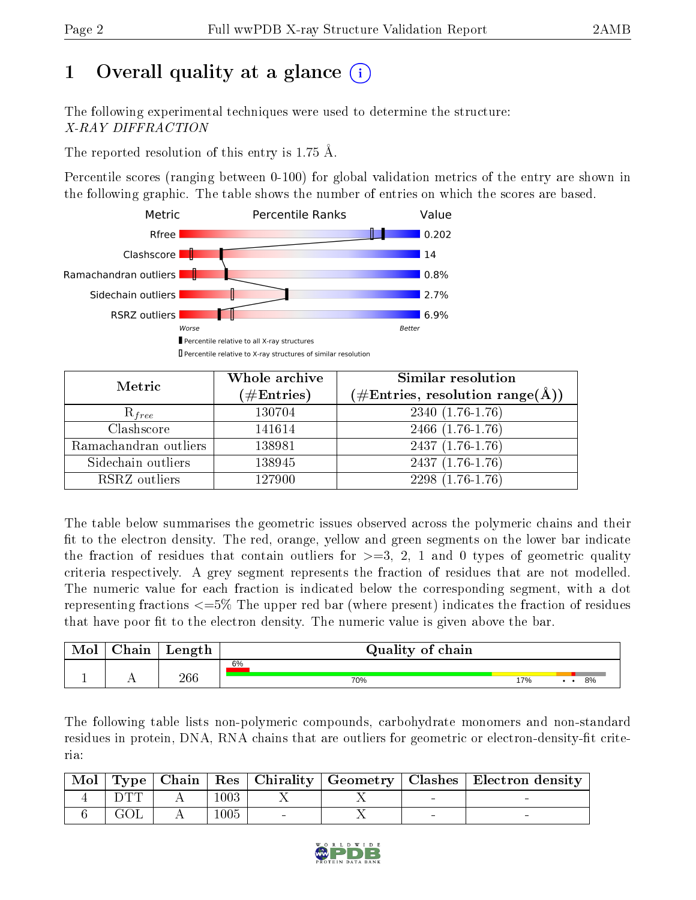# 1 [O](https://www.wwpdb.org/validation/2017/XrayValidationReportHelp#overall_quality)verall quality at a glance  $(i)$

The following experimental techniques were used to determine the structure: X-RAY DIFFRACTION

The reported resolution of this entry is 1.75 Å.

Percentile scores (ranging between 0-100) for global validation metrics of the entry are shown in the following graphic. The table shows the number of entries on which the scores are based.



| Metric                | Whole archive<br>$(\#\text{Entries})$ | Similar resolution<br>$(\#\text{Entries}, \text{resolution range}(\text{\AA}))$ |
|-----------------------|---------------------------------------|---------------------------------------------------------------------------------|
| $R_{free}$            | 130704                                | $2340(1.76-1.76)$                                                               |
| Clashscore            | 141614                                | $2466$ $(1.76-1.76)$                                                            |
| Ramachandran outliers | 138981                                | $2437(1.76-1.76)$                                                               |
| Sidechain outliers    | 138945                                | $2437(1.76-1.76)$                                                               |
| RSRZ outliers         | 127900                                | $2298(1.76-1.76)$                                                               |

The table below summarises the geometric issues observed across the polymeric chains and their fit to the electron density. The red, orange, yellow and green segments on the lower bar indicate the fraction of residues that contain outliers for  $>=3, 2, 1$  and 0 types of geometric quality criteria respectively. A grey segment represents the fraction of residues that are not modelled. The numeric value for each fraction is indicated below the corresponding segment, with a dot representing fractions <=5% The upper red bar (where present) indicates the fraction of residues that have poor fit to the electron density. The numeric value is given above the bar.

| Mol | ${\bf Chain}$ | Length | Quality of chain |     |    |
|-----|---------------|--------|------------------|-----|----|
|     |               |        | 6%               |     |    |
|     |               | 266    | 70%              | 17% | 8% |

The following table lists non-polymeric compounds, carbohydrate monomers and non-standard residues in protein, DNA, RNA chains that are outliers for geometric or electron-density-fit criteria:

| $^\mathrm{'}$ Mol |      |      |  |        | Type   Chain   Res   Chirality   Geometry   Clashes   Electron density |
|-------------------|------|------|--|--------|------------------------------------------------------------------------|
|                   |      | 1003 |  | $\sim$ |                                                                        |
|                   | GOL. | 1005 |  |        |                                                                        |

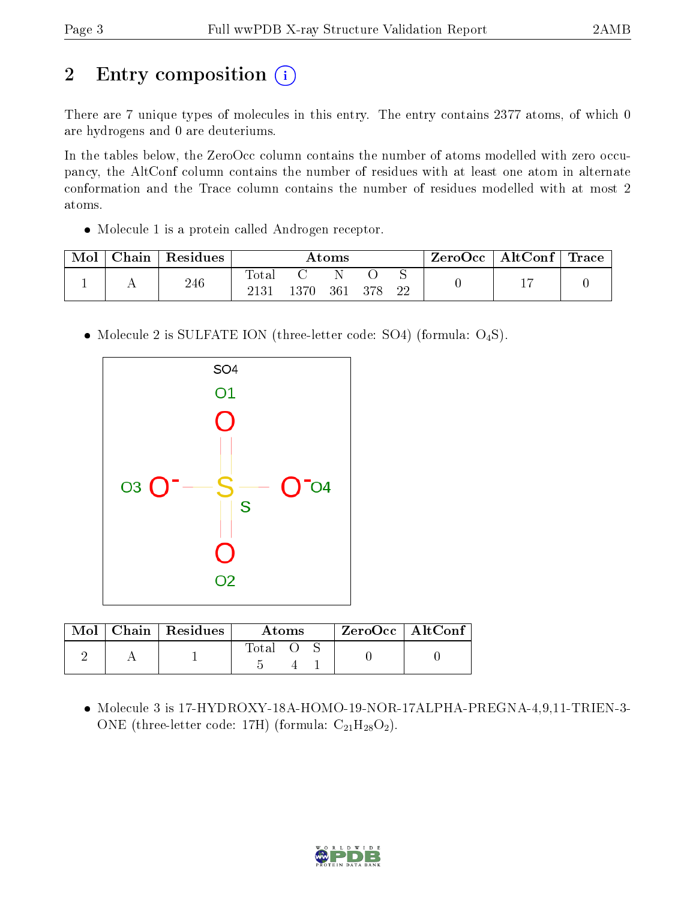# 2 Entry composition (i)

There are 7 unique types of molecules in this entry. The entry contains 2377 atoms, of which 0 are hydrogens and 0 are deuteriums.

In the tables below, the ZeroOcc column contains the number of atoms modelled with zero occupancy, the AltConf column contains the number of residues with at least one atom in alternate conformation and the Trace column contains the number of residues modelled with at most 2 atoms.

• Molecule 1 is a protein called Androgen receptor.

| Mol | ${\rm Chain}$ | Residues | $\rm{Atoms}$  |      |     | ZeroOcc | AltConf | $\operatorname{Trace} \mid$ |  |  |
|-----|---------------|----------|---------------|------|-----|---------|---------|-----------------------------|--|--|
|     | . .           | 246      | Tota.<br>2131 | 1370 | 361 | 378     | ◡<br>22 |                             |  |  |

• Molecule 2 is SULFATE ION (three-letter code: SO4) (formula: O<sub>4</sub>S).



|  | $Mol$   Chain   Residues | Atoms |  |  | $ZeroOcc$   AltConf |  |
|--|--------------------------|-------|--|--|---------------------|--|
|  |                          | Total |  |  |                     |  |

 Molecule 3 is 17-HYDROXY-18A-HOMO-19-NOR-17ALPHA-PREGNA-4,9,11-TRIEN-3- ONE (three-letter code: 17H) (formula:  $C_{21}H_{28}O_2$ ).

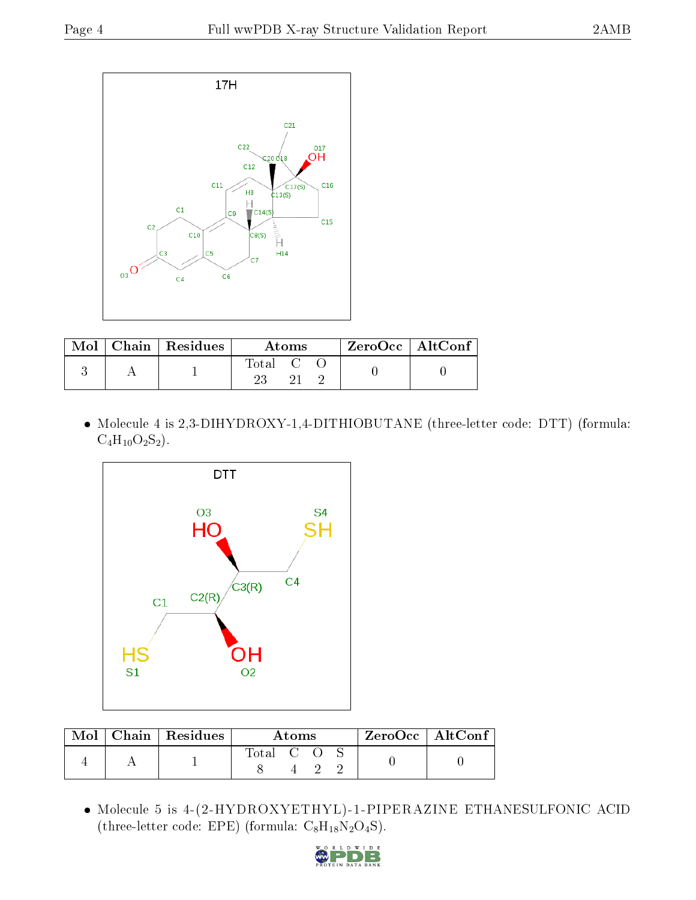

|  | $Mol$   Chain   Residues | Atoms                                                    |  |  | ZeroOcc   AltConf |  |
|--|--------------------------|----------------------------------------------------------|--|--|-------------------|--|
|  |                          | $\begin{array}{ccc} \text{Total} & \text{C} \end{array}$ |  |  |                   |  |

 Molecule 4 is 2,3-DIHYDROXY-1,4-DITHIOBUTANE (three-letter code: DTT) (formula:  $C_4H_{10}O_2S_2$ ).



|  | $Mol$   Chain   Residues | Atoms     |  |  |  | $\rm ZeroOcc \mid AltConf$ |  |
|--|--------------------------|-----------|--|--|--|----------------------------|--|
|  |                          | Total C O |  |  |  |                            |  |

 Molecule 5 is 4-(2-HYDROXYETHYL)-1-PIPERAZINE ETHANESULFONIC ACID (three-letter code: EPE) (formula:  $C_8H_{18}N_2O_4S$ ).

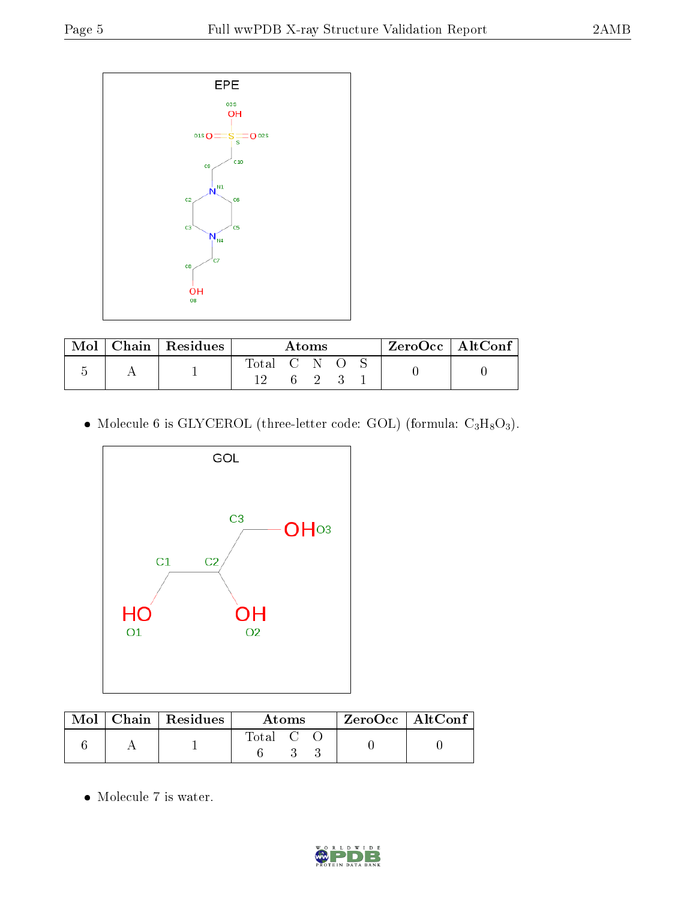

| Mol | Chain   Residues | Atoms       |  |  |  | ZeroOcc   AltConf |  |  |
|-----|------------------|-------------|--|--|--|-------------------|--|--|
|     |                  | Total C N O |  |  |  |                   |  |  |

• Molecule 6 is GLYCEROL (three-letter code: GOL) (formula:  $C_3H_8O_3$ ).



|  | $Mol$   Chain   Residues | Atoms     |  |  | $ZeroOcc$   AltConf |  |
|--|--------------------------|-----------|--|--|---------------------|--|
|  |                          | Total C C |  |  |                     |  |

 $\bullet\,$  Molecule 7 is water.

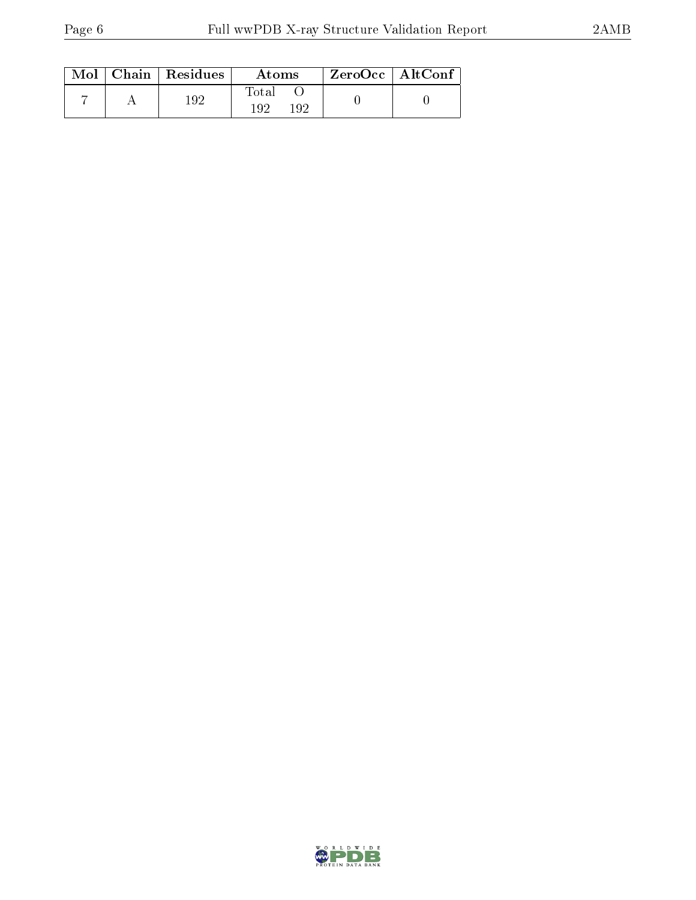|  | $Mol$   Chain   Residues | Atoms                 | $ZeroOcc$   AltConf |  |
|--|--------------------------|-----------------------|---------------------|--|
|  | 192                      | Total<br>192<br>1 Q S |                     |  |

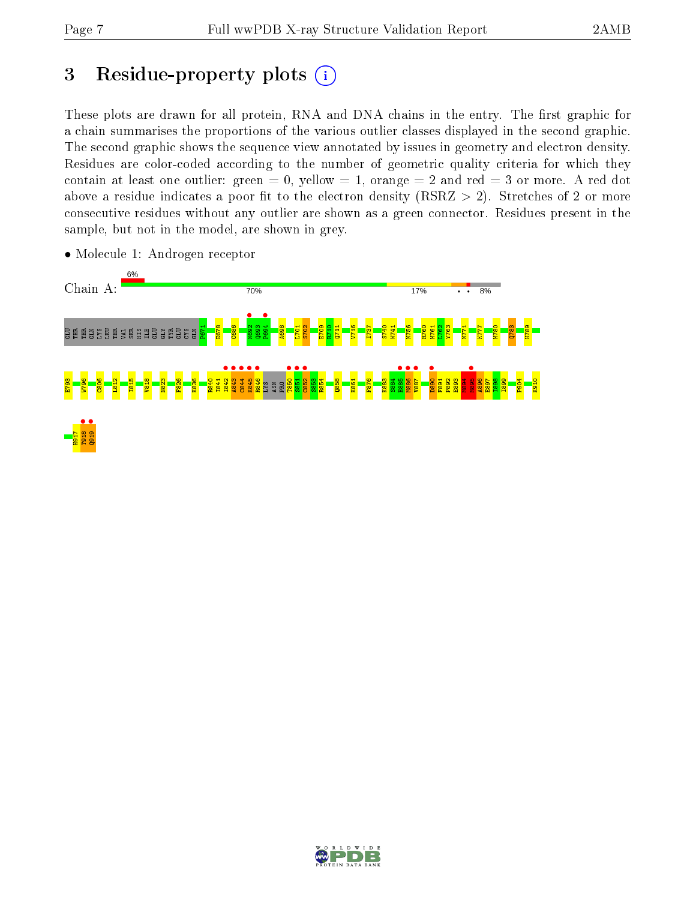## 3 Residue-property plots  $(i)$

These plots are drawn for all protein, RNA and DNA chains in the entry. The first graphic for a chain summarises the proportions of the various outlier classes displayed in the second graphic. The second graphic shows the sequence view annotated by issues in geometry and electron density. Residues are color-coded according to the number of geometric quality criteria for which they contain at least one outlier: green  $= 0$ , yellow  $= 1$ , orange  $= 2$  and red  $= 3$  or more. A red dot above a residue indicates a poor fit to the electron density (RSRZ  $> 2$ ). Stretches of 2 or more consecutive residues without any outlier are shown as a green connector. Residues present in the sample, but not in the model, are shown in grey.



• Molecule 1: Androgen receptor

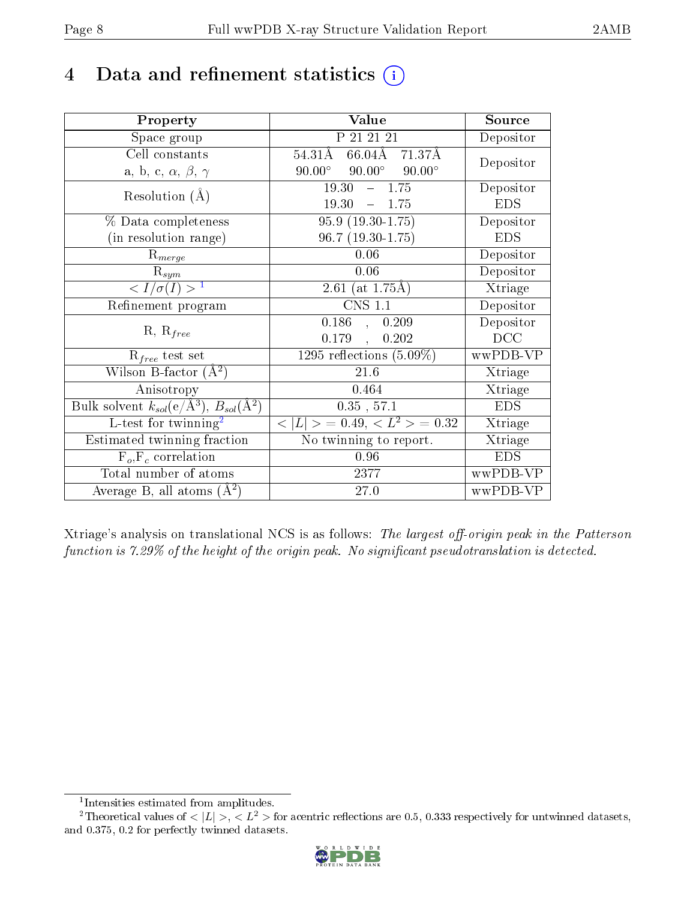## 4 Data and refinement statistics  $(i)$

| Property                                                         | Value                                                       | Source                       |
|------------------------------------------------------------------|-------------------------------------------------------------|------------------------------|
| Space group                                                      | P 21 21 21                                                  | Depositor                    |
| Cell constants                                                   | $54.31\overline{\text{A}}$<br>$66.\overline{04A}$<br>71.37Å | Depositor                    |
| a, b, c, $\alpha$ , $\beta$ , $\gamma$                           | $90.00^\circ$<br>$90.00^{\circ}$<br>$90.00^\circ$           |                              |
| Resolution $(A)$                                                 | 19.30<br>$-1.75$                                            | Depositor                    |
|                                                                  | 19.30<br>$-1.75$                                            | <b>EDS</b>                   |
| % Data completeness                                              | $95.9(19.30-1.75)$                                          | Depositor                    |
| (in resolution range)                                            | $96.7(19.30-1.75)$                                          | <b>EDS</b>                   |
| $R_{merge}$                                                      | 0.06                                                        | Depositor                    |
| $\mathrm{R}_{sym}$                                               | 0.06                                                        | Depositor                    |
| $\sqrt{I/\sigma(I)} > 1$                                         | 2.61 (at $1.75\text{\AA}$ )                                 | Xtriage                      |
| Refinement program                                               | <b>CNS 1.1</b>                                              | Depositor                    |
|                                                                  | 0.186<br>0.209<br>$\sim$                                    | Depositor                    |
| $R, R_{free}$                                                    | 0.179<br>0.202<br>$\mathcal{L}_{\mathcal{A}}$               | DCC                          |
| $R_{free}$ test set                                              | 1295 reflections $(5.09\%)$                                 | wwPDB-VP                     |
| Wilson B-factor $(A^2)$                                          | 21.6                                                        | Xtriage                      |
| Anisotropy                                                       | 0.464                                                       | Xtriage                      |
| Bulk solvent $k_{sol}(\text{e}/\text{A}^3), B_{sol}(\text{A}^2)$ | 0.35, 57.1                                                  | <b>EDS</b>                   |
| L-test for twinning <sup>2</sup>                                 | $< L >$ = 0.49, $< L2$ > = 0.32                             | Xtriage                      |
| Estimated twinning fraction                                      | No twinning to report.                                      | $\overline{\text{X}}$ triage |
| $\overline{F_o, F_c}$ correlation                                | 0.96                                                        | <b>EDS</b>                   |
| Total number of atoms                                            | 2377                                                        | wwPDB-VP                     |
| Average B, all atoms $(A^2)$                                     | 27.0                                                        | wwPDB-VP                     |

Xtriage's analysis on translational NCS is as follows: The largest off-origin peak in the Patterson function is  $7.29\%$  of the height of the origin peak. No significant pseudotranslation is detected.

<sup>&</sup>lt;sup>2</sup>Theoretical values of  $\langle |L| \rangle$ ,  $\langle L^2 \rangle$  for acentric reflections are 0.5, 0.333 respectively for untwinned datasets, and 0.375, 0.2 for perfectly twinned datasets.



<span id="page-7-1"></span><span id="page-7-0"></span><sup>1</sup> Intensities estimated from amplitudes.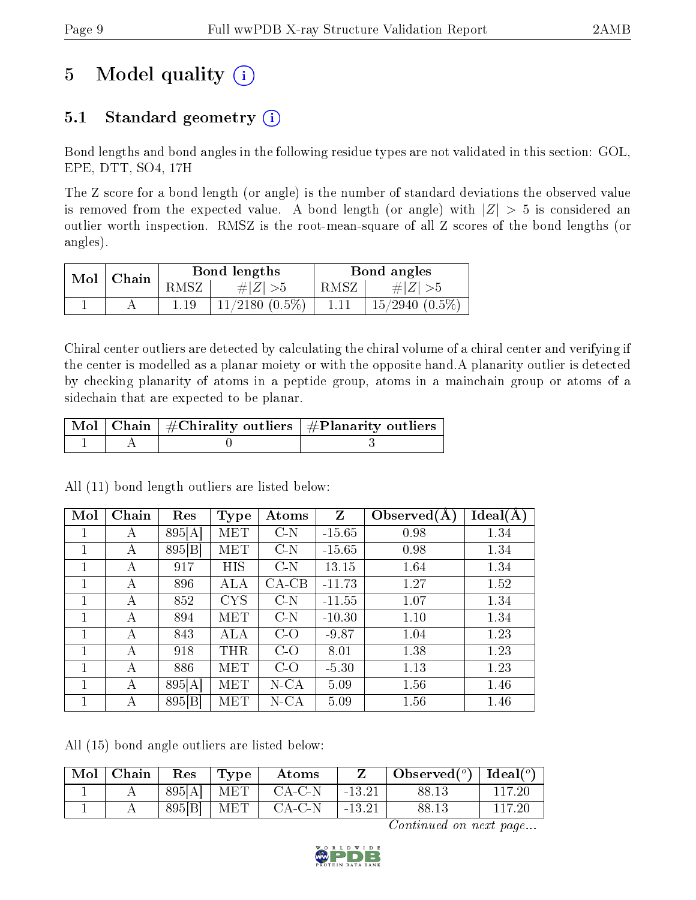# 5 Model quality  $(i)$

## 5.1 Standard geometry  $(i)$

Bond lengths and bond angles in the following residue types are not validated in this section: GOL, EPE, DTT, SO4, 17H

The Z score for a bond length (or angle) is the number of standard deviations the observed value is removed from the expected value. A bond length (or angle) with  $|Z| > 5$  is considered an outlier worth inspection. RMSZ is the root-mean-square of all Z scores of the bond lengths (or angles).

|               |      | Bond lengths        | Bond angles |                     |  |
|---------------|------|---------------------|-------------|---------------------|--|
| $Mol$   Chain | RMSZ | # $ Z  > 5$         | RMSZ        | $\# Z  > 5$         |  |
|               |      | $11/2180$ $(0.5\%)$ |             | $15/2940$ $(0.5\%)$ |  |

Chiral center outliers are detected by calculating the chiral volume of a chiral center and verifying if the center is modelled as a planar moiety or with the opposite hand.A planarity outlier is detected by checking planarity of atoms in a peptide group, atoms in a mainchain group or atoms of a sidechain that are expected to be planar.

|  | $\mid$ Mol $\mid$ Chain $\mid$ #Chirality outliers $\mid$ #Planarity outliers $\mid$ |
|--|--------------------------------------------------------------------------------------|
|  |                                                                                      |

All (11) bond length outliers are listed below:

| Mol          | Chain | Res    | <b>Type</b> | Atoms   | $\mathbf{Z}$ | Observed $(A)$ | Ideal(A) |
|--------------|-------|--------|-------------|---------|--------------|----------------|----------|
|              | А     | 895[A] | MET         | $C-N$   | $-15.65$     | 0.98           | 1.34     |
| 1            | А     | 895[B] | <b>MET</b>  | $C-N$   | $-15.65$     | 0.98           | 1.34     |
| 1            | А     | 917    | HIS         | $C-N$   | 13.15        | 1.64           | 1.34     |
| $\mathbf{1}$ | А     | 896    | <b>ALA</b>  | $CA-CB$ | $-11.73$     | 1.27           | 1.52     |
| 1            | А     | 852    | <b>CYS</b>  | $C-N$   | $-11.55$     | 1.07           | 1.34     |
| 1            | А     | 894    | MET         | $C-N$   | $-10.30$     | 1.10           | 1.34     |
| 1            | А     | 843    | ALA         | $C-O$   | $-9.87$      | 1.04           | 1.23     |
| 1            | А     | 918    | THR         | $C-O$   | 8.01         | 1.38           | 1.23     |
| $\mathbf{1}$ | А     | 886    | MET         | $C-O$   | $-5.30$      | 1.13           | 1.23     |
| $\mathbf{1}$ | А     | 895[A] | MET         | $N$ -CA | 5.09         | 1.56           | 1.46     |
| 1            | А     | 895[B] | MET         | N-CA    | 5.09         | 1.56           | 1.46     |

All (15) bond angle outliers are listed below:

| $\text{Mol}$ | Chain | $\operatorname{Res}% \left( \mathcal{N}\right) \equiv\operatorname{Res}(\mathcal{N}_{0})\cap\mathcal{N}_{1}$ | Type | Atoms    |          | Observed( $^o$ )   Ideal( $^o$ ) |        |
|--------------|-------|--------------------------------------------------------------------------------------------------------------|------|----------|----------|----------------------------------|--------|
|              |       | 895[A]                                                                                                       | MET  | $CA-C-N$ | $-13.21$ | 88.13                            | 117.20 |
|              |       | 895[B]                                                                                                       | MET  | $CA-C-N$ | $-13.21$ | 88.13                            | 117.20 |

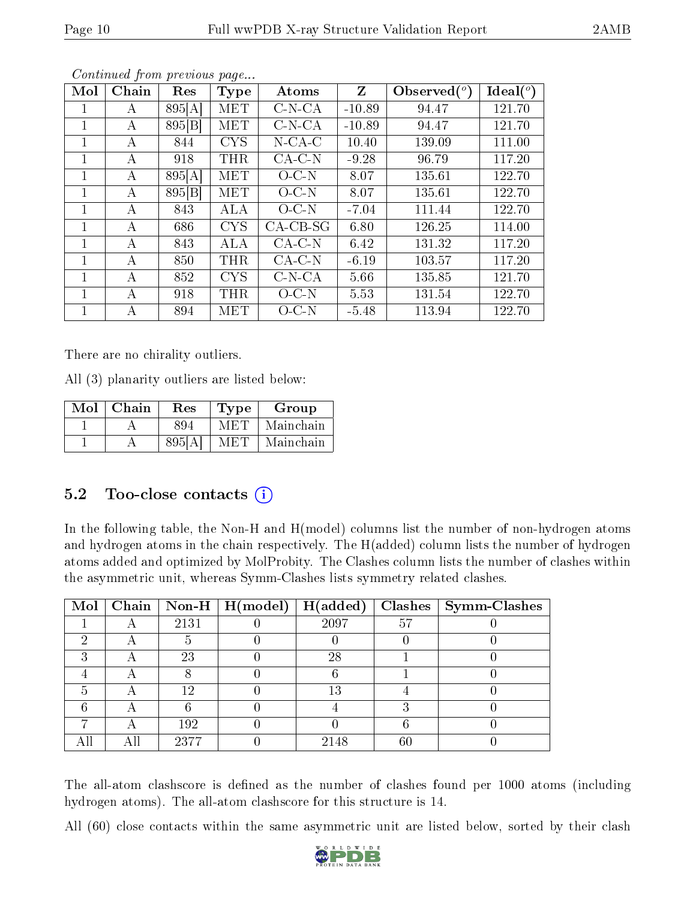| Mol          | Chain | Res    | Type       | Atoms      | $\mathbf{Z}$ | Observed $(°)$ | Ideal $(°)$ |
|--------------|-------|--------|------------|------------|--------------|----------------|-------------|
|              | А     | 895[A] | MET        | $C-N-CA$   | $-10.89$     | 94.47          | 121.70      |
| 1            | А     | 895[B] | <b>MET</b> | $C-N-CA$   | $-10.89$     | 94.47          | 121.70      |
|              | А     | 844    | <b>CYS</b> | $N$ -CA-C  | 10.40        | 139.09         | 111.00      |
| 1            | А     | 918    | THR        | $CA-C-N$   | $-9.28$      | 96.79          | 117.20      |
|              | А     | 895[A] | MET        | $O-C-N$    | 8.07         | 135.61         | 122.70      |
| 1.           | А     | 895 B  | <b>MET</b> | $O-C-N$    | 8.07         | 135.61         | 122.70      |
| 1            | А     | 843    | ALA        | $O-C-N$    | $-7.04$      | 111.44         | 122.70      |
|              | А     | 686    | <b>CYS</b> | $CA-CB-SG$ | 6.80         | 126.25         | 114.00      |
| 1            | А     | 843    | ALA        | $CA-C-N$   | 6.42         | 131.32         | 117.20      |
| 1            | А     | 850    | THR        | $CA-C-N$   | $-6.19$      | 103.57         | 117.20      |
| $\mathbf{1}$ | А     | 852    | <b>CYS</b> | $C-N-CA$   | 5.66         | 135.85         | 121.70      |
|              | А     | 918    | THR        | $O$ C-N    | 5.53         | 131.54         | 122.70      |
|              | А     | 894    | MET        | O C N      | $-5.48$      | 113.94         | 122.70      |

Continued from previous page...

There are no chirality outliers.

All (3) planarity outliers are listed below:

| Mol | Chain | $\operatorname{Res}% \left( \mathcal{N}\right) \equiv\operatorname{Res}(\mathcal{N}_{0},\mathcal{N}_{0})$ | <b>Type</b> | Group     |
|-----|-------|-----------------------------------------------------------------------------------------------------------|-------------|-----------|
|     |       | 894                                                                                                       | M ET I      | Mainchain |
|     |       | 895 <sub>[A</sub>                                                                                         | M ET L      | Mainchain |

## 5.2 Too-close contacts  $(i)$

In the following table, the Non-H and H(model) columns list the number of non-hydrogen atoms and hydrogen atoms in the chain respectively. The H(added) column lists the number of hydrogen atoms added and optimized by MolProbity. The Clashes column lists the number of clashes within the asymmetric unit, whereas Symm-Clashes lists symmetry related clashes.

| Mol |      | Chain   Non-H   $H (model)$ | $\vert$ H(added) |    | $Clashes$   Symm-Clashes |
|-----|------|-----------------------------|------------------|----|--------------------------|
|     | 2131 |                             | 2097             | 57 |                          |
|     |      |                             |                  |    |                          |
| 61  | 23   |                             | 28               |    |                          |
|     |      |                             |                  |    |                          |
|     | 12   |                             | 13               |    |                          |
|     |      |                             |                  |    |                          |
|     | 192  |                             |                  |    |                          |
|     | 2377 |                             | 2148             | 60 |                          |

The all-atom clashscore is defined as the number of clashes found per 1000 atoms (including hydrogen atoms). The all-atom clashscore for this structure is 14.

All (60) close contacts within the same asymmetric unit are listed below, sorted by their clash

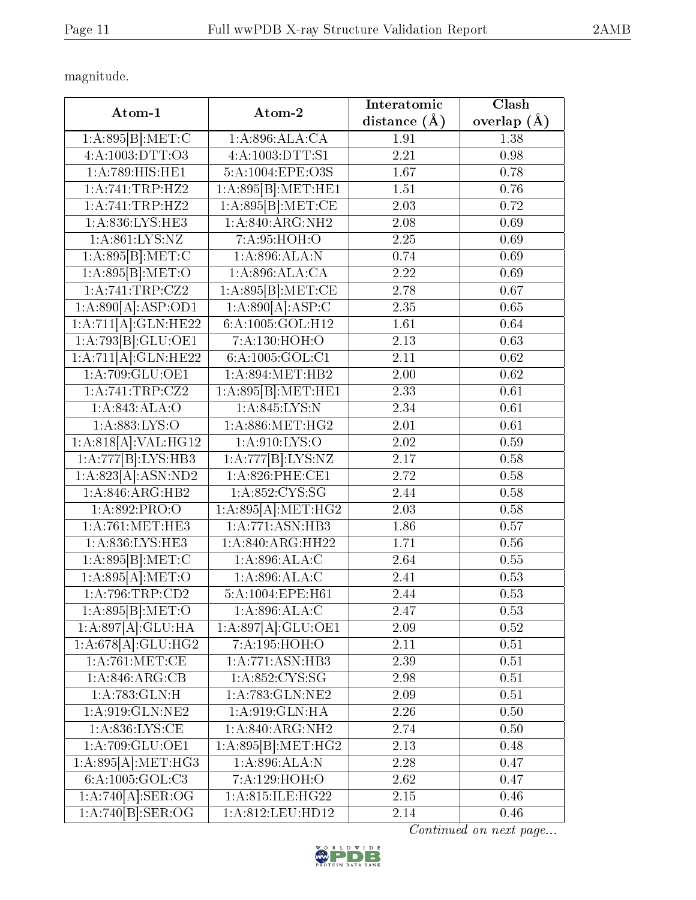magnitude.

| Atom-1                                     | Atom-2               | Interatomic       | Clash             |
|--------------------------------------------|----------------------|-------------------|-------------------|
|                                            |                      | distance $(\AA)$  | overlap $(A)$     |
| 1:A:895[B]:MET:C                           | 1: A:896:ALA:CA      | 1.91              | 1.38              |
| 4:A:1003:DTT:O3                            | 4:A:1003:DTT:S1      |                   | 0.98              |
| 1:A:789:HIS:HE1                            | 5:A:1004:EPE:O3S     | 1.67              | 0.78              |
| 1:A:741:TRP:HZ2                            | 1:A:895[B]:MET:HE1   | 1.51              | 0.76              |
| 1: A:741:TRP:HZ2                           | 1:A:895[B]: MET:CE   | 2.03              | 0.72              |
| 1:A:836:LYS:HE3                            | 1: A:840:ARG:NH2     | 2.08              | 0.69              |
| 1: A:861:LYS:NZ                            | 7:A:95:HOH:O         | 2.25              | 0.69              |
| 1:A:895[B]:MET:C                           | 1:A:896:ALA:N        | 0.74              | 0.69              |
| 1:A:895[B]:MET:O                           | 1:A:896:ALA:CA       | 2.22              | 0.69              |
| 1: A:741:TRP: CZ2                          | 1:A:895[B]: MET:CE   | 2.78              | $\overline{0.67}$ |
| $1:A:890\overline{[A]:}\overline{ASP:OD1}$ | 1:A:890[A]:ASP:C     | 2.35              | 0.65              |
| 1:A:711[A]:GLN:HE22                        | 6: A: 1005: GOL: H12 | 1.61              | 0.64              |
| 1:A:793[B]:GLU:OE1                         | 7:A:130:HOH:O        | 2.13              | 0.63              |
| 1:A:711[A]:GLN:HE22                        | 6:A:1005:GOL:C1      | 2.11              | 0.62              |
| 1: A:709: GLU:OE1                          | 1:A:894:MET:HB2      | 2.00              | 0.62              |
| 1:A:741:TRP:CZ2                            | 1:A:895[B]:MET:HE1   | 2.33              | 0.61              |
| 1:A:843:ALA:O                              | 1:A:845:LYS:N        | 2.34              | 0.61              |
| 1:A:883:LYS:O                              | 1: A:886:MET:HG2     | 2.01              | 0.61              |
| 1:A:818[A]:VAL:HG12                        | 1:A:910:LYS:O        | 2.02              | 0.59              |
| 1:A:777[B]:LYS:HB3                         | 1:A:777[B]:LYS:NZ    | $2.17\,$          | 0.58              |
| 1:A:823[A]:ASN:ND2                         | 1:A:826:PHE:CE1      | 2.72              | 0.58              |
| 1:A:846:ARG:HB2                            | 1: A:852:CYS:SG      | 2.44              | 0.58              |
| 1:A:892:PRO:O                              | 1:A:895[A]:MET:HG2   | 2.03              | 0.58              |
| 1: A:761:MET:HE3                           | 1:A:771:ASN:HB3      | 1.86              | 0.57              |
| 1: A:836: LYS: HE3                         | 1:A:840:ARG:HH22     | 1.71              | 0.56              |
| 1:A:895[B]:MET:C                           | 1: A:896:ALA:C       | 2.64              | 0.55              |
| 1:A:895[A]:MET:O                           | 1: A:896:ALA:C       | $\overline{2.41}$ | 0.53              |
| 1: A:796:TRP:CD2                           | 5:A:1004:EPE:H61     | 2.44              | 0.53              |
| 1:A:895[B]:MET:O                           | 1:A:896:ALA:C        | 2.47              | 0.53              |
| 1:A:897[A]:GLU:HA                          | 1:A:897[A]:GLU:OE1   | 2.09              | 0.52              |
| 1:A:678[A]:GLU:HG2                         | 7:A:195:HOH:O        | 2.11              | 0.51              |
| 1: A:761: MET:CE                           | 1:A:771:ASN:HB3      | 2.39              | 0.51              |
| 1: A:846:ARG:CB                            | 1: A:852: CYS:SG     | 2.98              | 0.51              |
| 1: A:783: GLN:H                            | 1:A:783:GLN:NE2      | 2.09              | 0.51              |
| 1:A:919:GLN:NE2                            | 1: A:919: GLN: HA    | 2.26              | 0.50              |
| 1: A:836: LYS: CE                          | 1: A:840:ARG:NH2     | 2.74              | 0.50              |
| 1:A:709:GLU:OE1                            | 1:A:895[B]:MET:HG2   | 2.13              | 0.48              |
| 1:A:895[A]:MET:HG3                         | 1:A:896:ALA:N        | 2.28              | 0.47              |
| 6:A:1005:GOL:C3                            | 7:A:129:HOH:O        | 2.62              | 0.47              |
| 1:A:740[A].SER:OG                          | 1:A:815:ILE:HG22     | 2.15              | 0.46              |
| 1:A:740[B]:SER:OG                          | 1:A:812:LEU:HD12     | 2.14              | 0.46              |

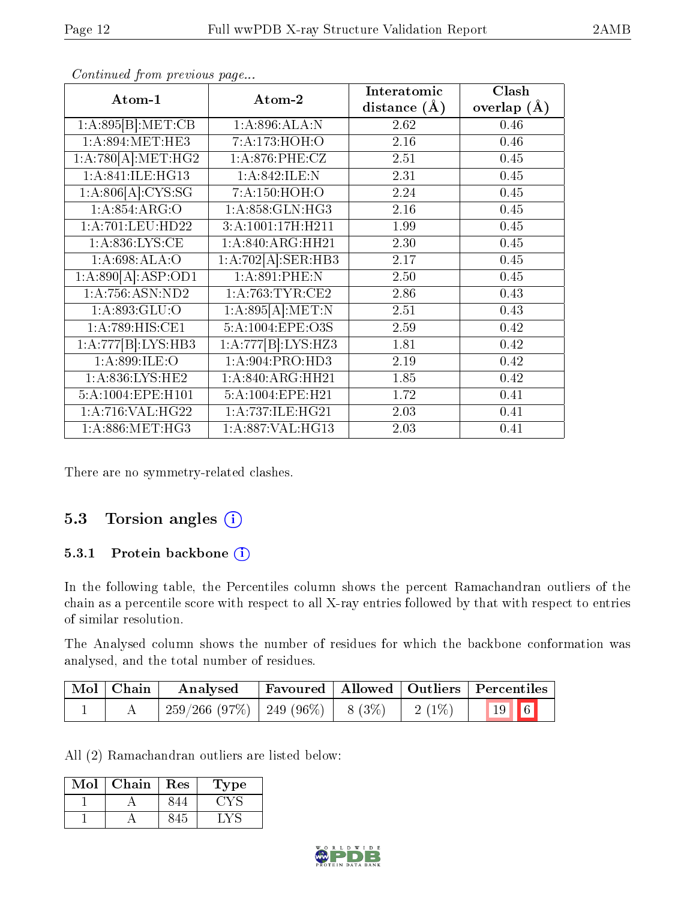| Atom-1              | Atom-2                        | Interatomic      | Clash         |
|---------------------|-------------------------------|------------------|---------------|
|                     |                               | distance $(\AA)$ | overlap $(A)$ |
| 1:A:895[B]:MET:CB   | 1:A:896:ALA:N                 | 2.62             | 0.46          |
| 1: A:894:MET:HE3    | 7:A:173:HOH:O                 | 2.16             | 0.46          |
| 1:A:780[A]:MET:HG2  | 1: A:876:PHE:CZ               | 2.51             | 0.45          |
| 1:A:841:ILE:HG13    | 1:A:842:ILE:N                 | 2.31             | 0.45          |
| 1: A:806[A]: CYS:SG | 7:A:150:HOH:O                 | 2.24             | 0.45          |
| 1:A:854:ARG:O       | 1: A:858: GLN: HG3            | 2.16             | 0.45          |
| 1:A:701:LEU:HD22    | 3:A:1001:17H:H211             | 1.99             | 0.45          |
| 1: A:836: LYS: CE   | 1: A:840:ARG:HH21             | 2.30             | 0.45          |
| 1:A:698:ALA:O       | 1:A:702[A].SER:HB3            | 2.17             | 0.45          |
| 1:A:890[A]:ASP:OD1  | 1:A:891:PHE:N                 | 2.50             | 0.45          |
| 1:A:756:ASN:ND2     | 1: A:763:TYR:CE2              | 2.86             | 0.43          |
| 1:A:893:GLU:O       | 1: A:895[A]: MET:N            | 2.51             | 0.43          |
| 1:A:789:HIS:CE1     | 5:A:1004:EPE:O3S              | 2.59             | 0.42          |
| 1:A:777[B]:LYS:HB3  | 1:A:777[B]:LYS:HZ3            | 1.81             | 0.42          |
| 1:A:899:ILE:O       | 1: A:904: PRO:HD3             | 2.19             | 0.42          |
| 1: A:836: LYS: HE2  | 1:A:840:ARG:HH21              | 1.85             | 0.42          |
| 5:A:1004:EPE:H101   | 5:A:1004:EPE:H21              | 1.72             | 0.41          |
| 1:A:716:VAL:HG22    | 1:A:737:ILE:HG21              | 2.03             | 0.41          |
| 1: A:886: MET:HG3   | $1:A:887:\overline{VAL:HG13}$ | 2.03             | 0.41          |

Continued from previous page...

There are no symmetry-related clashes.

## 5.3 Torsion angles (i)

#### 5.3.1 Protein backbone (i)

In the following table, the Percentiles column shows the percent Ramachandran outliers of the chain as a percentile score with respect to all X-ray entries followed by that with respect to entries of similar resolution.

The Analysed column shows the number of residues for which the backbone conformation was analysed, and the total number of residues.

| Mol   Chain | Analysed                                |  |          | Favoured   Allowed   Outliers   Percentiles |
|-------------|-----------------------------------------|--|----------|---------------------------------------------|
|             | $259/266$ (97\%)   249 (96\%)   8 (3\%) |  | $2(1\%)$ | $19$ 6                                      |

All (2) Ramachandran outliers are listed below:

| Mol | Chain | Res | L'ype |
|-----|-------|-----|-------|
|     |       |     |       |
|     |       |     |       |

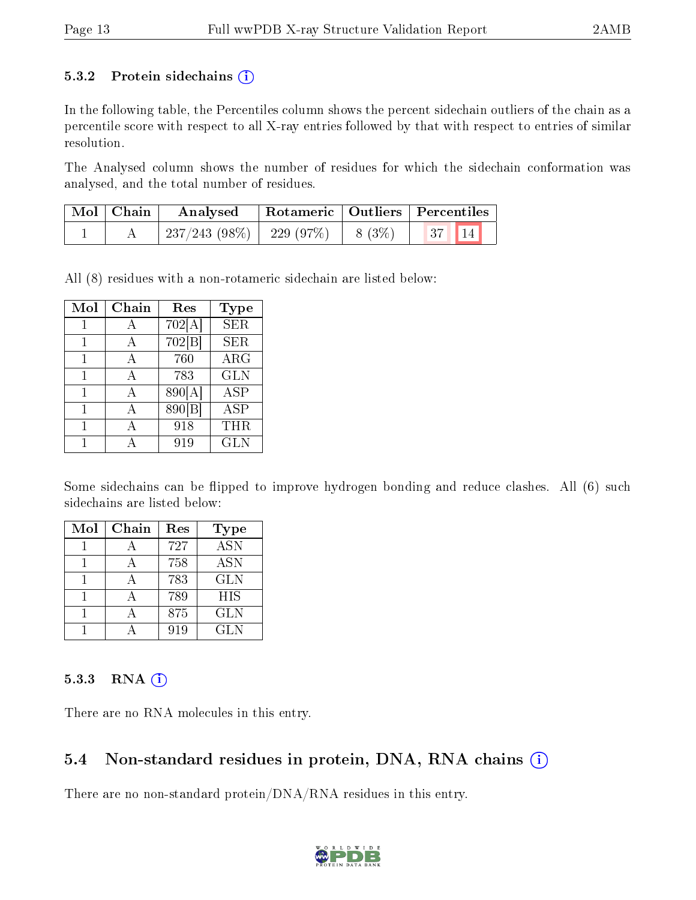#### 5.3.2 Protein sidechains  $(i)$

In the following table, the Percentiles column shows the percent sidechain outliers of the chain as a percentile score with respect to all X-ray entries followed by that with respect to entries of similar resolution.

The Analysed column shows the number of residues for which the sidechain conformation was analysed, and the total number of residues.

| $\mid$ Mol $\mid$ Chain | $\boldsymbol{\mathrm{Analysed}}$        | Rotameric   Outliers   Percentiles |          |  |
|-------------------------|-----------------------------------------|------------------------------------|----------|--|
|                         | $237/243$ (98\%)   229 (97\%)   8 (3\%) |                                    | 37    14 |  |

All (8) residues with a non-rotameric sidechain are listed below:

| Mol | Chain | Res    | <b>Type</b> |
|-----|-------|--------|-------------|
|     | А     | 702[A] | <b>SER</b>  |
|     | А     | 702 B  | <b>SER</b>  |
|     | А     | 760    | $\rm{ARG}$  |
| 1   | A     | 783    | <b>GLN</b>  |
| 1   | А     | 890[A] | <b>ASP</b>  |
|     | А     | 890[B] | ASP         |
|     |       | 918    | THR         |
|     |       | 919    | <b>GLN</b>  |

Some sidechains can be flipped to improve hydrogen bonding and reduce clashes. All (6) such sidechains are listed below:

| Mol | Chain | Res | <b>Type</b>      |
|-----|-------|-----|------------------|
|     |       | 727 | $\overline{ASN}$ |
|     |       | 758 | <b>ASN</b>       |
|     |       | 783 | <b>GLN</b>       |
|     |       | 789 | <b>HIS</b>       |
|     |       | 875 | <b>GLN</b>       |
|     |       | 919 | <b>GLN</b>       |

#### $5.3.3$  RNA  $(i)$

There are no RNA molecules in this entry.

### 5.4 Non-standard residues in protein, DNA, RNA chains (i)

There are no non-standard protein/DNA/RNA residues in this entry.

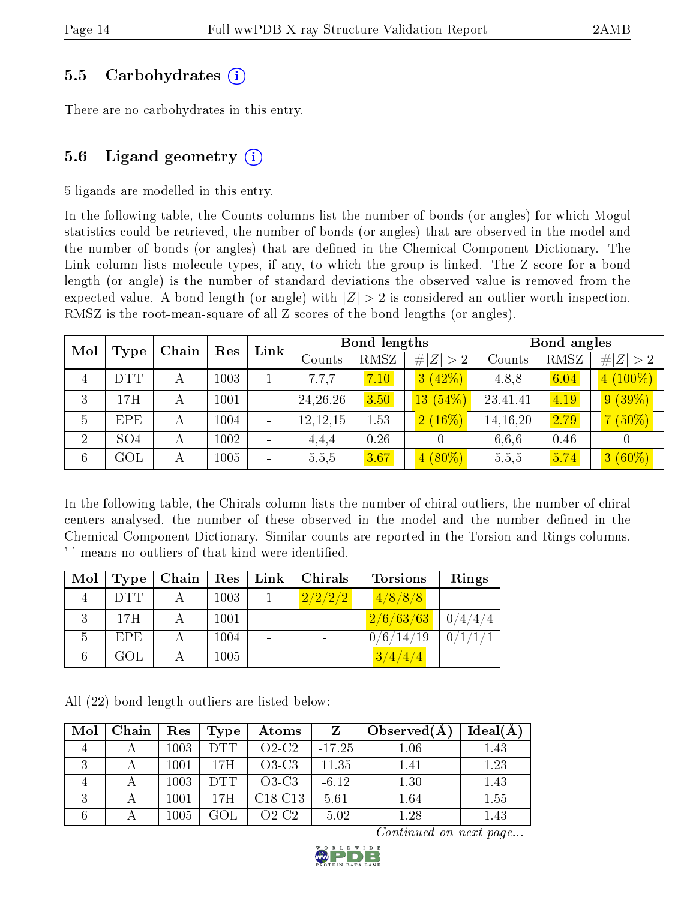### 5.5 Carbohydrates (i)

There are no carbohydrates in this entry.

## 5.6 Ligand geometry  $(i)$

5 ligands are modelled in this entry.

In the following table, the Counts columns list the number of bonds (or angles) for which Mogul statistics could be retrieved, the number of bonds (or angles) that are observed in the model and the number of bonds (or angles) that are defined in the Chemical Component Dictionary. The Link column lists molecule types, if any, to which the group is linked. The Z score for a bond length (or angle) is the number of standard deviations the observed value is removed from the expected value. A bond length (or angle) with  $|Z| > 2$  is considered an outlier worth inspection. RMSZ is the root-mean-square of all Z scores of the bond lengths (or angles).

| Mol            |                 |   | Chain<br>Res |                          | <b>Bond lengths</b><br>Link |      |             | Bond angles |      |             |
|----------------|-----------------|---|--------------|--------------------------|-----------------------------|------|-------------|-------------|------|-------------|
|                | Type            |   |              |                          | Counts                      | RMSZ | # $ Z  > 2$ | Counts      | RMSZ | # $ Z  > 2$ |
| $\overline{4}$ | DTT             | А | 1003         |                          | 7,7,7                       | 7.10 | 3(42%)      | 4,8,8       | 6.04 | $(100\%)$   |
| 3              | 17H             | А | 1001         | $\overline{\phantom{0}}$ | 24, 26, 26                  | 3.50 | $13(54\%)$  | 23,41,41    | 4.19 | $9(39\%)$   |
| 5              | <b>EPE</b>      | А | 1004         | $\blacksquare$           | 12, 12, 15                  | 1.53 | $2(16\%)$   | 14, 16, 20  | 2.79 | $(50\%)$    |
| $\overline{2}$ | SO <sub>4</sub> | А | 1002         |                          | 4,4,4                       | 0.26 |             | 6,6,6       | 0.46 |             |
| 6              | $\rm GOL$       | А | 1005         |                          | 5,5,5                       | 3.67 | $4(80\%)$   | 5,5,5       | 5.74 | $3(60\%)$   |

In the following table, the Chirals column lists the number of chiral outliers, the number of chiral centers analysed, the number of these observed in the model and the number defined in the Chemical Component Dictionary. Similar counts are reported in the Torsion and Rings columns. '-' means no outliers of that kind were identified.

| Mol | Type       | Chain | Res  | Link | Chirals | <b>Torsions</b> | Rings   |
|-----|------------|-------|------|------|---------|-----------------|---------|
|     | <b>DTT</b> |       | 1003 |      | 2/2/2/2 | 4/8/8/8         |         |
|     | 17H        |       | 1001 |      |         | 2/6/63/63       | 0/4/4/4 |
| 5   | EPE.       |       | 1004 |      |         | 0/6/14/19       | 0/1/1/1 |
| 6   | GOL        |       | 1005 |      |         | 3/4/4/4         |         |

All (22) bond length outliers are listed below:

| Mol | Chain | Res  | Type       | Atoms                            | Z        | Observed $(A)$ | Ideal(A |
|-----|-------|------|------------|----------------------------------|----------|----------------|---------|
|     |       | 1003 | <b>DTT</b> | $O2-C2$                          | $-17.25$ | 1.06           | 1.43    |
| 3   |       | 1001 | 17H        | $O3-C3$                          | 11.35    | 1.41           | 1.23    |
|     |       | 1003 | <b>DTT</b> | $O3-C3$                          | $-6.12$  | 1.30           | 1.43    |
| 3   |       | 1001 | 17H        | C <sub>18</sub> -C <sub>13</sub> | 5.61     | 1.64           | 1.55    |
|     |       | 1005 |            | $O2-C2$                          | $-5.02$  | 1.28           | 1.43    |

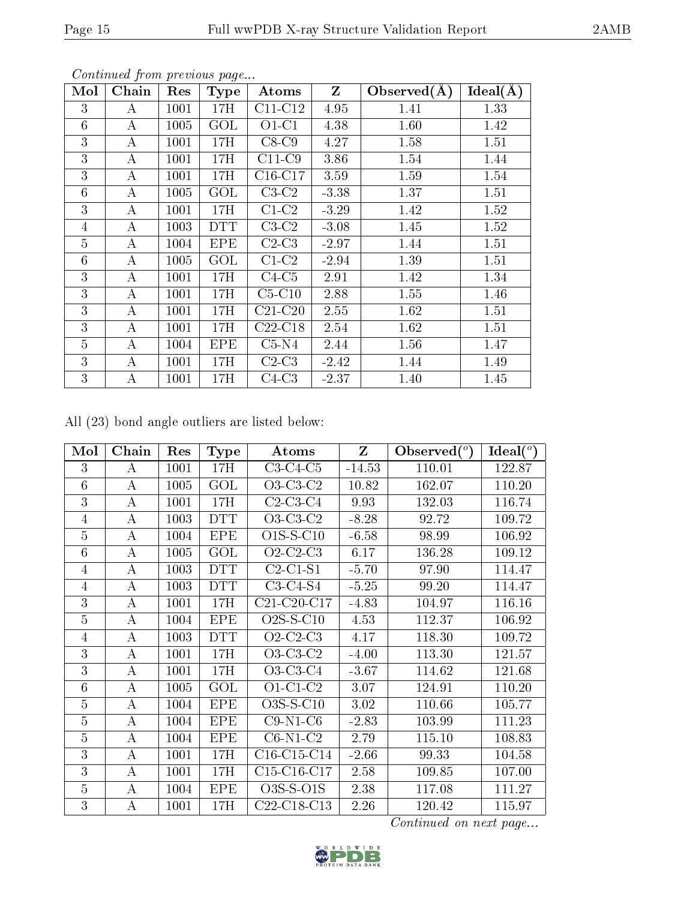| Mol            | Chain    | Res  | <b>Type</b> | Atoms     | $\mathbf{Z}$ | Observed $(\AA)$ | Ideal(A) |
|----------------|----------|------|-------------|-----------|--------------|------------------|----------|
| 3              | А        | 1001 | 17H         | $C11-C12$ | 4.95         | 1.41             | 1.33     |
| 6              | $\bf{A}$ | 1005 | GOL         | $O1-C1$   | 4.38         | 1.60             | 1.42     |
| 3              | A        | 1001 | 17H         | $C8-C9$   | 4.27         | 1.58             | 1.51     |
| 3              | A        | 1001 | 17H         | $C11-C9$  | 3.86         | 1.54             | 1.44     |
| 3              | А        | 1001 | 17H         | C16-C17   | 3.59         | 1.59             | 1.54     |
| 6              | А        | 1005 | $\rm GOL$   | $C3-C2$   | $-3.38$      | 1.37             | 1.51     |
| 3              | А        | 1001 | 17H         | $C1-C2$   | $-3.29$      | 1.42             | 1.52     |
| 4              | А        | 1003 | <b>DTT</b>  | $C3-C2$   | $-3.08$      | 1.45             | 1.52     |
| $\overline{5}$ | A        | 1004 | <b>EPE</b>  | $C2-C3$   | $-2.97$      | 1.44             | 1.51     |
| 6              | А        | 1005 | GOL         | $C1-C2$   | $-2.94$      | 1.39             | 1.51     |
| 3              | A        | 1001 | 17H         | $C4-C5$   | 2.91         | 1.42             | 1.34     |
| 3              | A        | 1001 | 17H         | $C5-C10$  | 2.88         | 1.55             | 1.46     |
| 3              | A        | 1001 | 17H         | $C21-C20$ | 2.55         | 1.62             | 1.51     |
| 3              | A        | 1001 | 17H         | $C22-C18$ | 2.54         | 1.62             | 1.51     |
| $\overline{5}$ | A        | 1004 | <b>EPE</b>  | $C5-N4$   | 2.44         | 1.56             | 1.47     |
| 3              | А        | 1001 | 17H         | $C2-C3$   | $-2.42$      | 1.44             | 1.49     |
| 3              | A        | 1001 | 17H         | $C4-C3$   | $-2.37$      | 1.40             | 1.45     |

Continued from previous page...

All (23) bond angle outliers are listed below:

| Mol            | Chain            | Res  | <b>Type</b> | Atoms                                             | Z        | Observed $(°)$ | Ideal(°) |
|----------------|------------------|------|-------------|---------------------------------------------------|----------|----------------|----------|
| 3              | A                | 1001 | 17H         | $C3-C4-C5$                                        | $-14.53$ | 110.01         | 122.87   |
| 6              | A                | 1005 | GOL         | $O3-C3-C2$                                        | 10.82    | 162.07         | 110.20   |
| 3              | $\bf{A}$         | 1001 | 17H         | $C2-C3-C4$                                        | 9.93     | 132.03         | 116.74   |
| 4              | A                | 1003 | <b>DTT</b>  | $O3-C3-C2$                                        | $-8.28$  | 92.72          | 109.72   |
| $\overline{5}$ | A                | 1004 | <b>EPE</b>  | $O1S-S-C10$                                       | $-6.58$  | 98.99          | 106.92   |
| 6              | $\bf{A}$         | 1005 | GOL         | $O2-C2-C3$                                        | 6.17     | 136.28         | 109.12   |
| 4              | $\boldsymbol{A}$ | 1003 | <b>DTT</b>  | $C2-C1-S1$                                        | $-5.70$  | 97.90          | 114.47   |
| $\overline{4}$ | A                | 1003 | <b>DTT</b>  | $C3-C4-S4$                                        | $-5.25$  | 99.20          | 114.47   |
| 3              | $\bf{A}$         | 1001 | 17H         | $C21-C20-C17$                                     | $-4.83$  | 104.97         | 116.16   |
| 5              | A                | 1004 | <b>EPE</b>  | $O2S-S-C10$                                       | 4.53     | 112.37         | 106.92   |
| 4              | A                | 1003 | <b>DTT</b>  | $O2-C2-C3$                                        | 4.17     | 118.30         | 109.72   |
| 3              | A                | 1001 | 17H         | $O3-C3-C2$                                        | $-4.00$  | 113.30         | 121.57   |
| 3              | $\bf{A}$         | 1001 | 17H         | $O3-C3-C4$                                        | $-3.67$  | 114.62         | 121.68   |
| 6              | $\boldsymbol{A}$ | 1005 | GOL         | $O1-C1-C2$                                        | 3.07     | 124.91         | 110.20   |
| $\overline{5}$ | $\boldsymbol{A}$ | 1004 | <b>EPE</b>  | $O3S-S-C10$                                       | 3.02     | 110.66         | 105.77   |
| $\overline{5}$ | $\bf{A}$         | 1004 | <b>EPE</b>  | $C9-N1-C6$                                        | $-2.83$  | 103.99         | 111.23   |
| 5              | $\bf{A}$         | 1004 | <b>EPE</b>  | $C6-N1-C2$                                        | 2.79     | 115.10         | 108.83   |
| 3              | $\bf{A}$         | 1001 | 17H         | $C16-C15-C14$                                     | $-2.66$  | 99.33          | 104.58   |
| 3              | A                | 1001 | 17H         | $C15-C16-C17$                                     | 2.58     | 109.85         | 107.00   |
| $\overline{5}$ | $\bf{A}$         | 1004 | <b>EPE</b>  | $O3S-S-O1S$                                       | 2.38     | 117.08         | 111.27   |
| 3              | А                | 1001 | 17H         | C <sub>22</sub> -C <sub>18</sub> -C <sub>13</sub> | 2.26     | 120.42         | 115.97   |

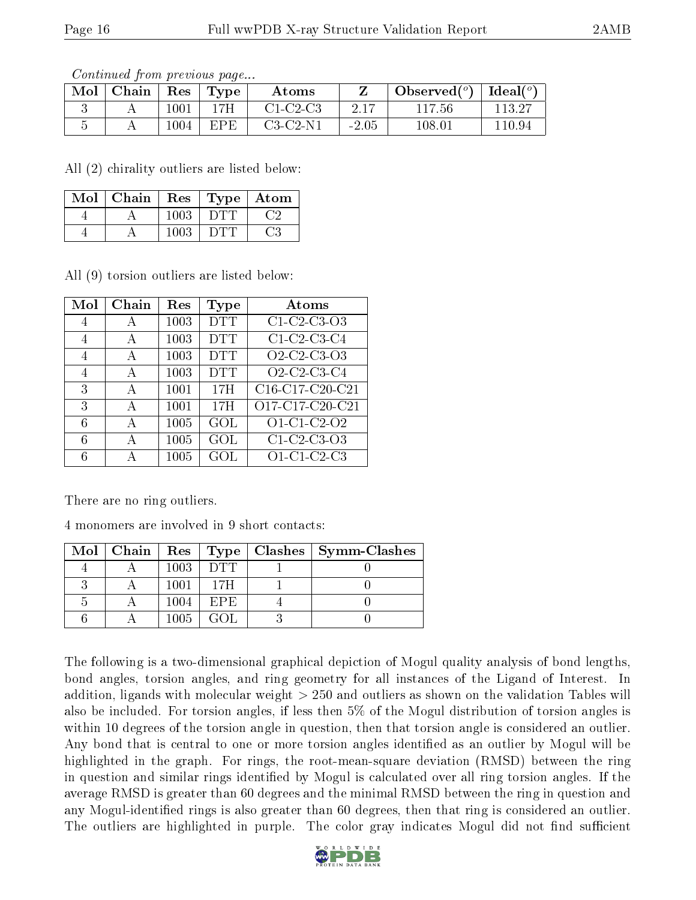Continued from previous page...

| Mol | Chain | Res      | 'Type | Atoms      |         | Observed $(°)$ | Ideal $(°)$ |
|-----|-------|----------|-------|------------|---------|----------------|-------------|
|     |       | $1001\,$ | 1 7H  | $C1-C2-C3$ |         | 117.56         | 113.27      |
|     |       | 1004     | FPF.  | $C3-C2-N1$ | $-2.05$ | 108.01         | 110.94      |

All (2) chirality outliers are listed below:

| Mol | Chain | $\operatorname{Res}$ |           | Type   Atom |
|-----|-------|----------------------|-----------|-------------|
|     |       | 1003                 | 1 E 1 T 1 |             |
|     |       | 1003                 | 1 E 1 T 1 | ි.3         |

All (9) torsion outliers are listed below:

| Mol | Chain | Res  | Type       | Atoms                                                          |
|-----|-------|------|------------|----------------------------------------------------------------|
| 4   | А     | 1003 | <b>DTT</b> | C1-C2-C3-O3                                                    |
| 4   | А     | 1003 | <b>DTT</b> | $C1$ -C <sub>2</sub> -C <sub>3</sub> -C <sub>4</sub>           |
| 4   | А     | 1003 | <b>DTT</b> | O2-C2-C3-O3                                                    |
| 4   | А     | 1003 | <b>DTT</b> | O <sub>2</sub> -C <sub>2</sub> -C <sub>3</sub> -C <sub>4</sub> |
| 3   | А     | 1001 | 17H        | C16-C17-C20-C21                                                |
| 3   | А     | 1001 | 17H        | O17-C17-C20-C21                                                |
| 6   | А     | 1005 | GOL        | O1-C1-C2-O2                                                    |
| 6   | А     | 1005 | GOL        | C1-C2-C3-O3                                                    |
| 6   | Д     | 1005 | GOL        | O1-C1-C2-C3                                                    |

There are no ring outliers.

4 monomers are involved in 9 short contacts:

|  |      |       | Mol   Chain   Res   Type   Clashes   Symm-Clashes |
|--|------|-------|---------------------------------------------------|
|  | 1003 | DTL   |                                                   |
|  | 1001 | 17H   |                                                   |
|  | 1004 | EPE)  |                                                   |
|  | 1005 | GO 1. |                                                   |

The following is a two-dimensional graphical depiction of Mogul quality analysis of bond lengths, bond angles, torsion angles, and ring geometry for all instances of the Ligand of Interest. In addition, ligands with molecular weight > 250 and outliers as shown on the validation Tables will also be included. For torsion angles, if less then 5% of the Mogul distribution of torsion angles is within 10 degrees of the torsion angle in question, then that torsion angle is considered an outlier. Any bond that is central to one or more torsion angles identified as an outlier by Mogul will be highlighted in the graph. For rings, the root-mean-square deviation (RMSD) between the ring in question and similar rings identified by Mogul is calculated over all ring torsion angles. If the average RMSD is greater than 60 degrees and the minimal RMSD between the ring in question and any Mogul-identified rings is also greater than 60 degrees, then that ring is considered an outlier. The outliers are highlighted in purple. The color gray indicates Mogul did not find sufficient

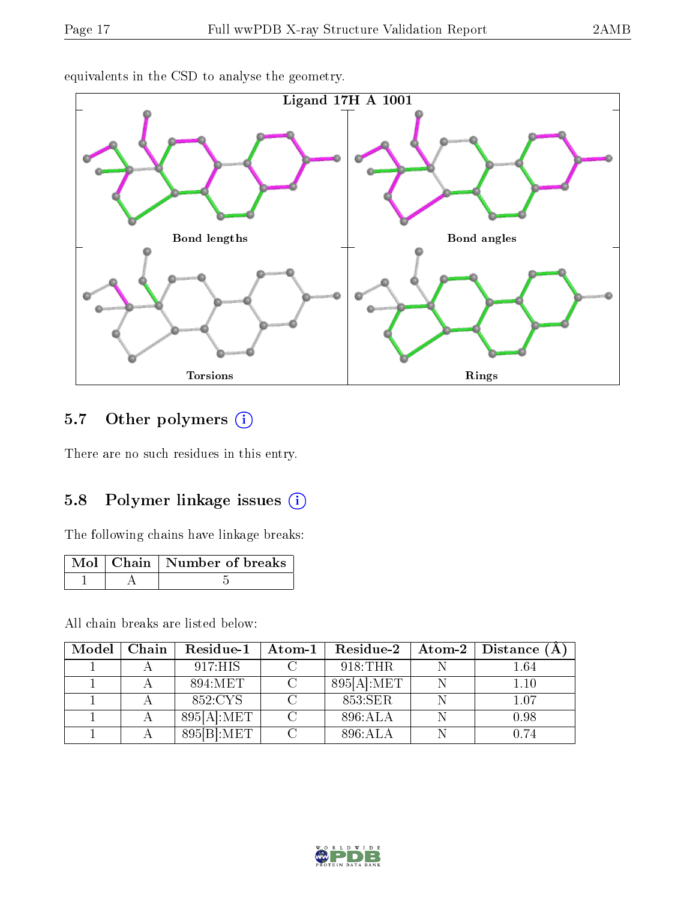

equivalents in the CSD to analyse the geometry.

## 5.7 [O](https://www.wwpdb.org/validation/2017/XrayValidationReportHelp#nonstandard_residues_and_ligands)ther polymers (i)

There are no such residues in this entry.

### 5.8 Polymer linkage issues  $(i)$

The following chains have linkage breaks:

|  | Mol   Chain   Number of breaks |
|--|--------------------------------|
|  |                                |

All chain breaks are listed below:

| Model | Chain | Residue-1     | $\boldsymbol{\mathrm{Atom}\text{-}1}$ | Residue-2                | Atom-2   Distance (A) |
|-------|-------|---------------|---------------------------------------|--------------------------|-----------------------|
|       |       | 917:HIS       |                                       | 918:THR                  | 1.64                  |
|       |       | 894:MET       |                                       | $895[A]\colon\text{MET}$ | 1.10                  |
|       |       | 852:CYS       |                                       | 853:SER                  | 1.07                  |
|       |       | 895[A].MET    |                                       | 896:ALA                  | 0.98                  |
|       |       | $895 B $ :MET |                                       | 896:ALA                  | 0.74                  |

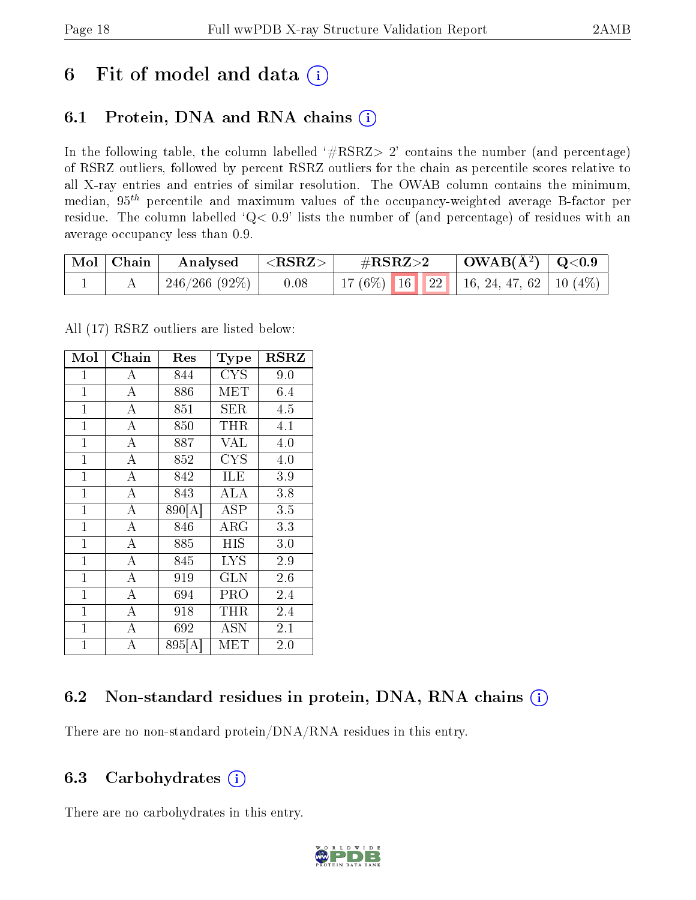## 6 Fit of model and data  $(i)$

## 6.1 Protein, DNA and RNA chains  $(i)$

In the following table, the column labelled  $#RSRZ> 2'$  contains the number (and percentage) of RSRZ outliers, followed by percent RSRZ outliers for the chain as percentile scores relative to all X-ray entries and entries of similar resolution. The OWAB column contains the minimum, median,  $95<sup>th</sup>$  percentile and maximum values of the occupancy-weighted average B-factor per residue. The column labelled ' $Q< 0.9$ ' lists the number of (and percentage) of residues with an average occupancy less than 0.9.

| $\mid$ Mol $\mid$ Chain | Analysed                  | $ \langle \mathrm{RSRZ}\rangle $ | $\#\text{RSRZ}\text{>2}$ |  | $\mid$ OWAB(Å <sup>2</sup> ) $\mid$ Q<0.9 |                                              |  |
|-------------------------|---------------------------|----------------------------------|--------------------------|--|-------------------------------------------|----------------------------------------------|--|
|                         | $\pm 246/266$ (92%) $\pm$ | 0.08                             |                          |  |                                           | 17 (6%)   16   22   16, 24, 47, 62   10 (4%) |  |

All (17) RSRZ outliers are listed below:

| Mol            | Chain              | Res                     | <b>Type</b> | $_{\rm RSRZ}$ |
|----------------|--------------------|-------------------------|-------------|---------------|
| 1              | А                  | 844                     | <b>CYS</b>  | 9.0           |
| $\mathbf{1}$   | $\overline{\rm A}$ | 886                     | MET         | 6.4           |
| $\mathbf{1}$   | $\overline{\rm A}$ | 851                     | SER         | 4.5           |
| $\mathbf{1}$   | $\overline{\rm A}$ | 850                     | THR         | 4.1           |
| $\mathbf{1}$   | $\overline{\rm A}$ | 887                     | <b>VAL</b>  | 4.0           |
| $\mathbf{1}$   | $\overline{\rm A}$ | 852                     | <b>CYS</b>  | 4.0           |
| $\mathbf{1}$   | $\overline{\rm A}$ | 842                     | ILE         | 3.9           |
| $\mathbf{1}$   | $\overline{A}$     | 843                     | ALA         | 3.8           |
| $\mathbf{1}$   | $\overline{\rm A}$ | 890[A]                  | ASP         | 3.5           |
| $\mathbf{1}$   | $\overline{A}$     | 846                     | ${\rm ARG}$ | 3.3           |
| $\mathbf{1}$   | $\overline{\rm A}$ | 885                     | HIS         | 3.0           |
| $\mathbf{1}$   | $\overline{\rm A}$ | 845                     | <b>LYS</b>  | 2.9           |
| $\mathbf{1}$   | $\overline{A}$     | 919                     | GLN         | 2.6           |
| $\mathbf{1}$   | $\overline{\rm A}$ | 694                     | PRO         | 2.4           |
| $\mathbf{1}$   | $\overline{A}$     | 918                     | THR         | 2.4           |
| $\mathbf{1}$   | $\overline{A}$     | 692                     | ASN         | 2.1           |
| $\overline{1}$ | $\overline{A}$     | $895 \overline{\rm{A}}$ | MET         | 2.0           |

## 6.2 Non-standard residues in protein, DNA, RNA chains (i)

There are no non-standard protein/DNA/RNA residues in this entry.

### 6.3 Carbohydrates  $(i)$

There are no carbohydrates in this entry.